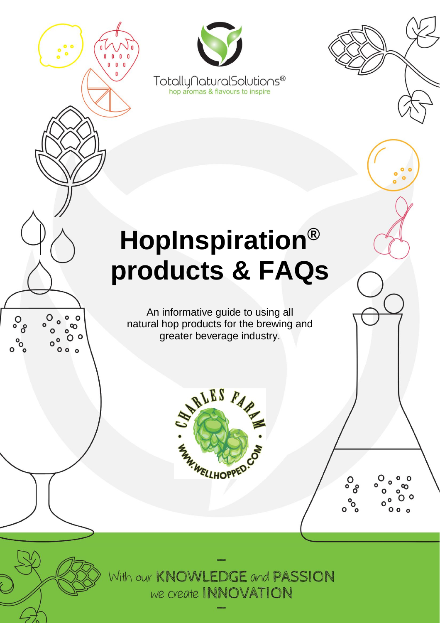

With our KNOWLEDGE and PASSION we create INNOVATION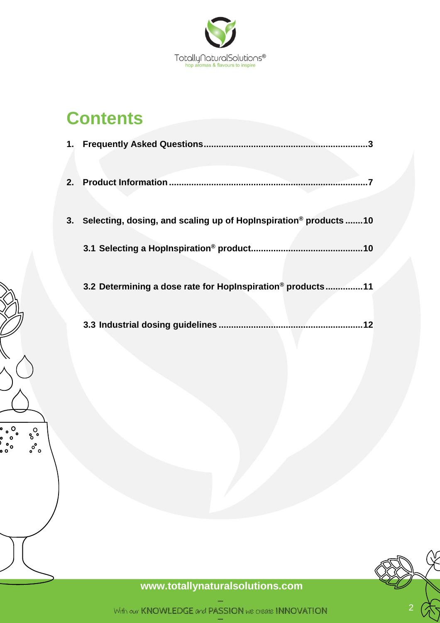

# **Contents**

。。。<br>。。。。<br>。。。。<br>。。。

 $\delta_{\rm o}^{\rm O}$  $\delta^{\circ}$ 

| 3. | Selecting, dosing, and scaling up of HopInspiration <sup>®</sup> products 10 |
|----|------------------------------------------------------------------------------|
|    |                                                                              |
|    |                                                                              |
|    | 3.2 Determining a dose rate for HopInspiration® products11                   |
|    |                                                                              |
|    |                                                                              |
|    |                                                                              |
|    |                                                                              |
|    |                                                                              |



**[www.totallyn](http://www.totally/)aturalsolutions.com**

With our KNOWLEDGE and PASSION we create INNOVATION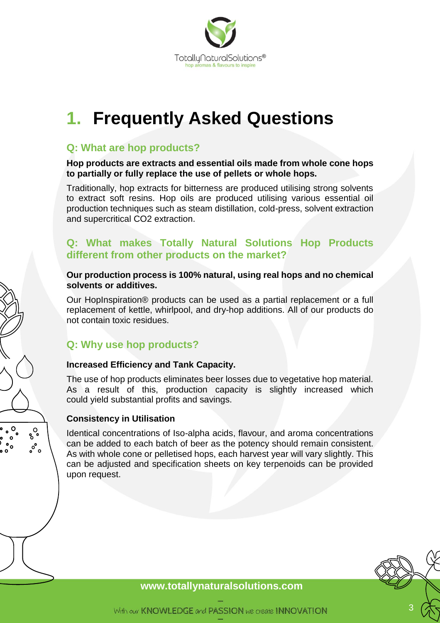

# <span id="page-2-0"></span>**1. Frequently Asked Questions**

# **Q: What are hop products?**

**Hop products are extracts and essential oils made from whole cone hops to partially or fully replace the use of pellets or whole hops.** 

Traditionally, hop extracts for bitterness are produced utilising strong solvents to extract soft resins. Hop oils are produced utilising various essential oil production techniques such as steam distillation, cold-press, solvent extraction and supercritical CO2 extraction.

### **Q: What makes Totally Natural Solutions Hop Products different from other products on the market?**

### **Our production process is 100% natural, using real hops and no chemical solvents or additives.**

Our HopInspiration® products can be used as a partial replacement or a full replacement of kettle, whirlpool, and dry-hop additions. All of our products do not contain toxic residues.

# **Q: Why use hop products?**

### **Increased Efficiency and Tank Capacity.**

The use of hop products eliminates beer losses due to vegetative hop material. As a result of this, production capacity is slightly increased which could yield substantial profits and savings.

### **Consistency in Utilisation**

 $\delta_{\rm o}^{\rm O}$ 

ೢ°ಂ

 $\int_{0}^{\infty}$ 

Identical concentrations of Iso-alpha acids, flavour, and aroma concentrations can be added to each batch of beer as the potency should remain consistent. As with whole cone or pelletised hops, each harvest year will vary slightly. This can be adjusted and specification sheets on key terpenoids can be provided upon request.

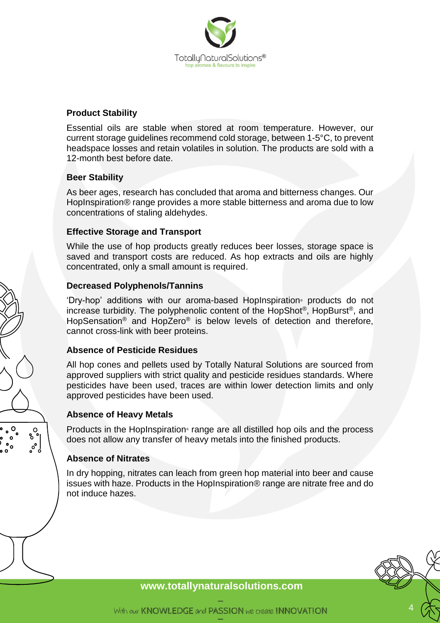

### **Product Stability**

Essential oils are stable when stored at room temperature. However, our current storage guidelines recommend cold storage, between 1-5°C, to prevent headspace losses and retain volatiles in solution. The products are sold with a 12-month best before date.

### **Beer Stability**

As beer ages, research has concluded that aroma and bitterness changes. Our HopInspiration® range provides a more stable bitterness and aroma due to low concentrations of staling aldehydes.

### **Effective Storage and Transport**

While the use of hop products greatly reduces beer losses, storage space is saved and transport costs are reduced. As hop extracts and oils are highly concentrated, only a small amount is required.

### **Decreased Polyphenols/Tannins**

'Dry-hop' additions with our aroma-based HopInspiration® products do not increase turbidity. The polyphenolic content of the HopShot®, HopBurst®, and HopSensation® and HopZero® is below levels of detection and therefore, cannot cross-link with beer proteins.

### **Absence of Pesticide Residues**

All hop cones and pellets used by Totally Natural Solutions are sourced from approved suppliers with strict quality and pesticide residues standards. Where pesticides have been used, traces are within lower detection limits and only approved pesticides have been used.

### **Absence of Heavy Metals**

Products in the HopInspiration® range are all distilled hop oils and the process does not allow any transfer of heavy metals into the finished products.

### **Absence of Nitrates**

 $\delta_{\rm o}^{\rm O}$ 

 $\circ$  $\circ$ 

 $\circ$  $\circ$  $\frac{1}{2}$ 

> In dry hopping, nitrates can leach from green hop material into beer and cause issues with haze. Products in the HopInspiration® range are nitrate free and do not induce hazes.

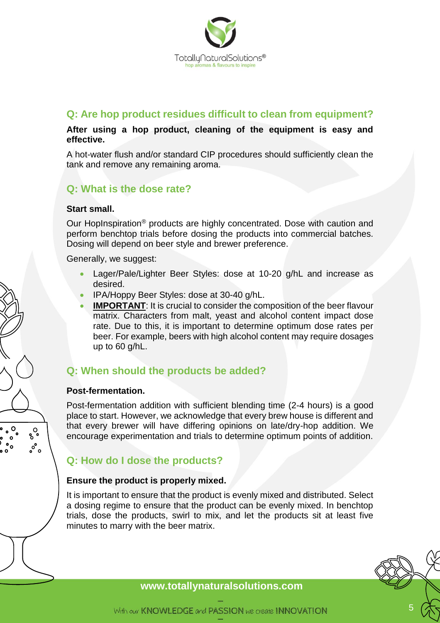

# **Q: Are hop product residues difficult to clean from equipment?**

### **After using a hop product, cleaning of the equipment is easy and effective.**

A hot-water flush and/or standard CIP procedures should sufficiently clean the tank and remove any remaining aroma.

# **Q: What is the dose rate?**

### **Start small.**

Our HopInspiration® products are highly concentrated. Dose with caution and perform benchtop trials before dosing the products into commercial batches. Dosing will depend on beer style and brewer preference.

Generally, we suggest:

- Lager/Pale/Lighter Beer Styles: dose at 10-20 g/hL and increase as desired.
- IPA/Hoppy Beer Styles: dose at 30-40 g/hL.
- **IMPORTANT:** It is crucial to consider the composition of the beer flavour matrix. Characters from malt, yeast and alcohol content impact dose rate. Due to this, it is important to determine optimum dose rates per beer. For example, beers with high alcohol content may require dosages up to 60 g/hL.

# **Q: When should the products be added?**

### **Post-fermentation.**

 $\circ$ 

 $\circ$ 

 $\int_{0}^{\infty}$ 

 $\delta_{\rm o}^{\rm O}$ 

 $\frac{1}{2}$ 

 $\circ$ 

Post-fermentation addition with sufficient blending time (2-4 hours) is a good place to start. However, we acknowledge that every brew house is different and that every brewer will have differing opinions on late/dry-hop addition. We encourage experimentation and trials to determine optimum points of addition.

# **Q: How do I dose the products?**

### **Ensure the product is properly mixed.**

It is important to ensure that the product is evenly mixed and distributed. Select a dosing regime to ensure that the product can be evenly mixed. In benchtop trials, dose the products, swirl to mix, and let the products sit at least five minutes to marry with the beer matrix.

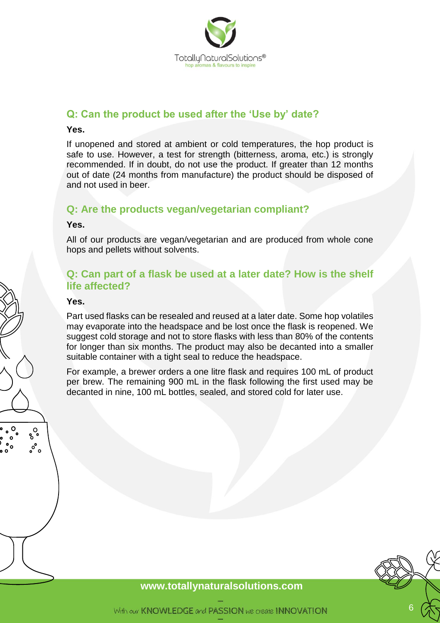

# **Q: Can the product be used after the 'Use by' date?**

#### **Yes.**

If unopened and stored at ambient or cold temperatures, the hop product is safe to use. However, a test for strength (bitterness, aroma, etc.) is strongly recommended. If in doubt, do not use the product. If greater than 12 months out of date (24 months from manufacture) the product should be disposed of and not used in beer.

### **Q: Are the products vegan/vegetarian compliant?**

#### **Yes.**

All of our products are vegan/vegetarian and are produced from whole cone hops and pellets without solvents.

### **Q: Can part of a flask be used at a later date? How is the shelf life affected?**

#### **Yes.**

 $\delta_{\rm o}^{\rm O}$  $\sigma^{\circ}$  $\circ$ 

Part used flasks can be resealed and reused at a later date. Some hop volatiles may evaporate into the headspace and be lost once the flask is reopened. We suggest cold storage and not to store flasks with less than 80% of the contents for longer than six months. The product may also be decanted into a smaller suitable container with a tight seal to reduce the headspace.

For example, a brewer orders a one litre flask and requires 100 mL of product per brew. The remaining 900 mL in the flask following the first used may be decanted in nine, 100 mL bottles, sealed, and stored cold for later use.

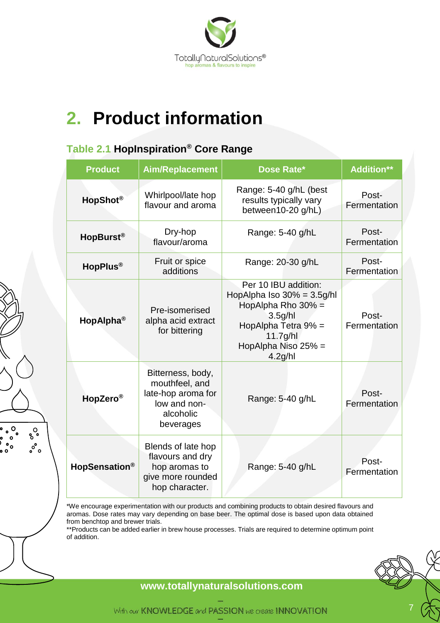

# <span id="page-6-0"></span>**2. Product information**

# **Table 2.1 HopInspiration® Core Range**

 $\circ \circ \circ$ 

່°ຶ

 $\delta_{\rm o}^{\rm O}$ 

 $\circ^{\circ}$ 

| <b>Product</b>            | <b>Aim/Replacement</b>                                                                              | Dose Rate*                                                                                                                                                                              | <b>Addition**</b>     |
|---------------------------|-----------------------------------------------------------------------------------------------------|-----------------------------------------------------------------------------------------------------------------------------------------------------------------------------------------|-----------------------|
| HopShot <sup>®</sup>      | Whirlpool/late hop<br>flavour and aroma                                                             | Range: 5-40 g/hL (best<br>results typically vary<br>between10-20 g/hL)                                                                                                                  | Post-<br>Fermentation |
| HopBurst <sup>®</sup>     | Dry-hop<br>flavour/aroma                                                                            | Range: 5-40 g/hL                                                                                                                                                                        | Post-<br>Fermentation |
| HopPlus <sup>®</sup>      | Fruit or spice<br>additions                                                                         | Range: 20-30 g/hL                                                                                                                                                                       | Post-<br>Fermentation |
| HopAlpha <sup>®</sup>     | Pre-isomerised<br>alpha acid extract<br>for bittering                                               | Per 10 IBU addition:<br>HopAlpha Iso $30\% = 3.5$ g/hl<br>HopAlpha Rho 30% =<br>3.5 <sub>g</sub> /h<br>HopAlpha Tetra 9% =<br>$11.7$ g/hl<br>HopAlpha Niso 25% =<br>4.2 <sub>g</sub> /h | Post-<br>Fermentation |
| HopZero <sup>®</sup>      | Bitterness, body,<br>mouthfeel, and<br>late-hop aroma for<br>low and non-<br>alcoholic<br>beverages | Range: 5-40 g/hL                                                                                                                                                                        | Post-<br>Fermentation |
| HopSensation <sup>®</sup> | Blends of late hop<br>flavours and dry<br>hop aromas to<br>give more rounded<br>hop character.      | Range: 5-40 g/hL                                                                                                                                                                        | Post-<br>Fermentation |

\*We encourage experimentation with our products and combining products to obtain desired flavours and aromas. Dose rates may vary depending on base beer. The optimal dose is based upon data obtained from benchtop and brewer trials.

\*\*Products can be added earlier in brew house processes. Trials are required to determine optimum point of addition.



7

**[www.totallyn](http://www.totally/)aturalsolutions.com**

With our KNOWLEDGE and PASSION we create INNOVATION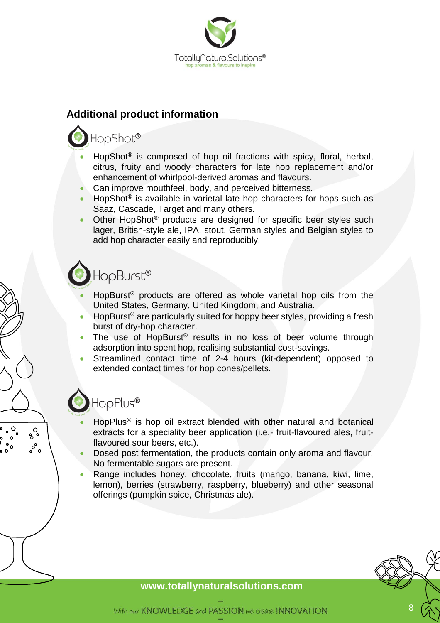

# **Additional product information**

# HopShot®

- HopShot<sup>®</sup> is composed of hop oil fractions with spicy, floral, herbal, citrus, fruity and woody characters for late hop replacement and/or enhancement of whirlpool-derived aromas and flavours.
- Can improve mouthfeel, body, and perceived bitterness.
- HopShot<sup>®</sup> is available in varietal late hop characters for hops such as Saaz, Cascade, Target and many others.
- Other HopShot® products are designed for specific beer styles such lager, British-style ale, IPA, stout, German styles and Belgian styles to add hop character easily and reproducibly.

# HopBurst®

- HopBurst<sup>®</sup> products are offered as whole varietal hop oils from the United States, Germany, United Kingdom, and Australia.
- HopBurst<sup>®</sup> are particularly suited for hoppy beer styles, providing a fresh burst of dry-hop character.
- The use of HopBurst<sup>®</sup> results in no loss of beer volume through adsorption into spent hop, realising substantial cost-savings.
- Streamlined contact time of 2-4 hours (kit-dependent) opposed to extended contact times for hop cones/pellets.

# HopPlus®

 $\delta_{\rm o}^{\rm O}$ ೢ°ಂ

- HopPlus<sup>®</sup> is hop oil extract blended with other natural and botanical extracts for a speciality beer application (i.e.- fruit-flavoured ales, fruitflavoured sour beers, etc.).
- Dosed post fermentation, the products contain only aroma and flavour. No fermentable sugars are present.
- Range includes honey, chocolate, fruits (mango, banana, kiwi, lime, lemon), berries (strawberry, raspberry, blueberry) and other seasonal offerings (pumpkin spice, Christmas ale).

### **[www.totallyn](http://www.totally/)aturalsolutions.com**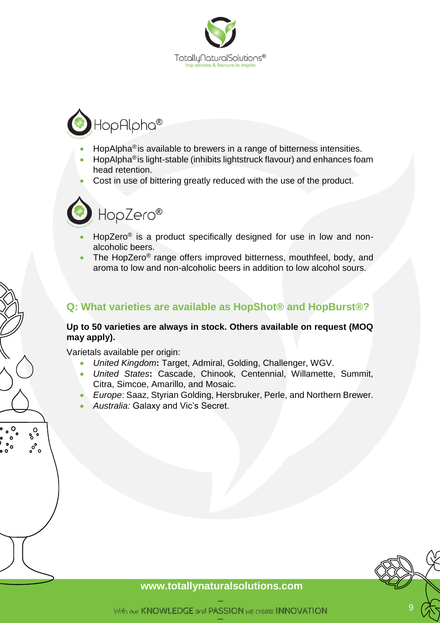

# HopAlpha®

- HopAlpha<sup>®</sup> is available to brewers in a range of bitterness intensities.
- HopAlpha®is light-stable (inhibits lightstruck flavour) and enhances foam head retention.
- Cost in use of bittering greatly reduced with the use of the product.



- HopZero<sup>®</sup> is a product specifically designed for use in low and nonalcoholic beers.
- The HopZero® range offers improved bitterness, mouthfeel, body, and aroma to low and non-alcoholic beers in addition to low alcohol sours.

# **Q: What varieties are available as HopShot® and HopBurst®?**

### **Up to 50 varieties are always in stock. Others available on request (MOQ may apply).**

Varietals available per origin:

 $\delta_{\rm o}^{\rm O}$ ೢ°ಂ

- *United Kingdom***:** Target, Admiral, Golding, Challenger, WGV.
- *United States***:** Cascade, Chinook, Centennial, Willamette, Summit, Citra, Simcoe, Amarillo, and Mosaic.
- *Europe*: Saaz, Styrian Golding, Hersbruker, Perle, and Northern Brewer.
- *Australia:* Galaxy and Vic's Secret.

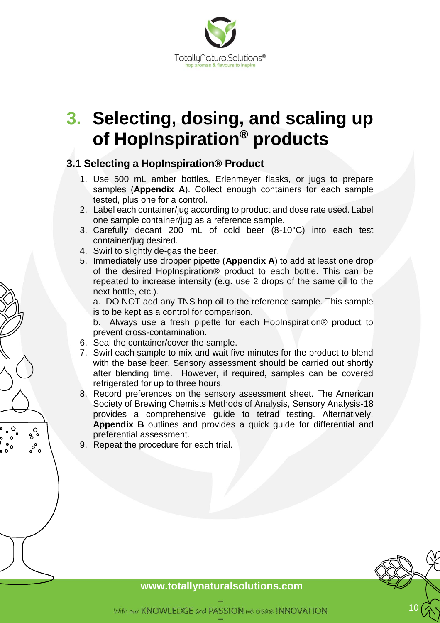

# <span id="page-9-0"></span>**3. Selecting, dosing, and scaling up of HopInspiration® products**

# <span id="page-9-1"></span>**3.1 Selecting a HopInspiration® Product**

- 1. Use 500 mL amber bottles, Erlenmeyer flasks, or jugs to prepare samples (**Appendix A**). Collect enough containers for each sample tested, plus one for a control.
- 2. Label each container/jug according to product and dose rate used. Label one sample container/jug as a reference sample.
- 3. Carefully decant 200 mL of cold beer (8-10°C) into each test container/jug desired.
- 4. Swirl to slightly de-gas the beer.
- 5. Immediately use dropper pipette (**Appendix A**) to add at least one drop of the desired HopInspiration® product to each bottle. This can be repeated to increase intensity (e.g. use 2 drops of the same oil to the next bottle, etc.).

a. DO NOT add any TNS hop oil to the reference sample. This sample is to be kept as a control for comparison.

b. Always use a fresh pipette for each HopInspiration® product to prevent cross-contamination.

- 6. Seal the container/cover the sample.
- 7. Swirl each sample to mix and wait five minutes for the product to blend with the base beer. Sensory assessment should be carried out shortly after blending time. However, if required, samples can be covered refrigerated for up to three hours.
- 8. Record preferences on the sensory assessment sheet. The American Society of Brewing Chemists Methods of Analysis, Sensory Analysis-18 provides a comprehensive guide to tetrad testing. Alternatively, **Appendix B** outlines and provides a quick guide for differential and preferential assessment.
- 9. Repeat the procedure for each trial.

 $\delta_{\rm o}^{\rm O}$ ೢ°ಂ

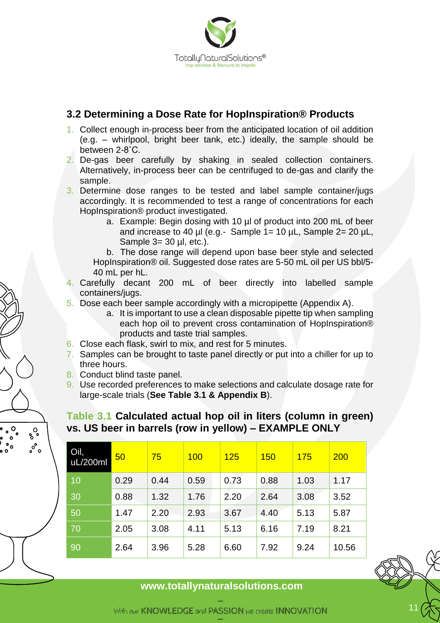

# <span id="page-10-0"></span>**3.2 Determining a Dose Rate for HopInspiration® Products**

- 1. Collect enough in-process beer from the anticipated location of oil addition (e.g. – whirlpool, bright beer tank, etc.) ideally, the sample should be between 2-8˚C.
- 2. De-gas beer carefully by shaking in sealed collection containers. Alternatively, in-process beer can be centrifuged to de-gas and clarify the sample.
- 3. Determine dose ranges to be tested and label sample container/jugs accordingly. It is recommended to test a range of concentrations for each HopInspiration® product investigated.
	- a. Example: Begin dosing with 10 µl of product into 200 mL of beer and increase to 40  $\mu$ l (e.g.- Sample 1= 10  $\mu$ L, Sample 2= 20  $\mu$ L, Sample 3= 30 µl, etc.).

b. The dose range will depend upon base beer style and selected HopInspiration® oil. Suggested dose rates are 5-50 mL oil per US bbl/5- 40 mL per hL.

- 4. Carefully decant 200 mL of beer directly into labelled sample containers/jugs.
- 5. Dose each beer sample accordingly with a micropipette (Appendix A).
	- a. It is important to use a clean disposable pipette tip when sampling each hop oil to prevent cross contamination of HopInspiration® products and taste trial samples.
- 6. Close each flask, swirl to mix, and rest for 5 minutes.
- 7. Samples can be brought to taste panel directly or put into a chiller for up to three hours.
- 8. Conduct blind taste panel.

 $\delta_{\rm o}^{\rm O}$  $\frac{1}{2}$ 

 $\circ$ 

 $\frac{1}{2}$ 

9. Use recorded preferences to make selections and calculate dosage rate for large-scale trials (**See Table 3.1 & Appendix B**).

# **Table 3.1 Calculated actual hop oil in liters (column in green) vs. US beer in barrels (row in yellow) – EXAMPLE ONLY**

| Oil,<br>uL/200ml | 50   | 75   | 100  | 125  | <b>150</b> | <b>175</b> | 200   |
|------------------|------|------|------|------|------------|------------|-------|
| 10               | 0.29 | 0.44 | 0.59 | 0.73 | 0.88       | 1.03       | 1.17  |
| 30               | 0.88 | 1.32 | 1.76 | 2.20 | 2.64       | 3.08       | 3.52  |
| 50               | 1.47 | 2.20 | 2.93 | 3.67 | 4.40       | 5.13       | 5.87  |
| 70               | 2.05 | 3.08 | 4.11 | 5.13 | 6.16       | 7.19       | 8.21  |
| 90               | 2.64 | 3.96 | 5.28 | 6.60 | 7.92       | 9.24       | 10.56 |

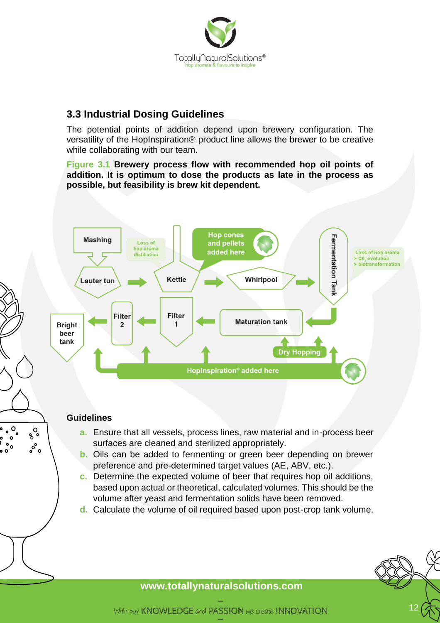

# <span id="page-11-0"></span>**3.3 Industrial Dosing Guidelines**

The potential points of addition depend upon brewery configuration. The versatility of the HopInspiration® product line allows the brewer to be creative while collaborating with our team.

**Figure 3.1 Brewery process flow with recommended hop oil points of addition. It is optimum to dose the products as late in the process as possible, but feasibility is brew kit dependent.**



### **Guidelines**

 $\circ$ <sup>O</sup>

 $\frac{1}{2}$ 

 $\circ$ 

່ດ  $\bullet$ 

 $\delta_{\rm o}^{\rm O}$ 

 $\frac{1}{2}$ 

 $\circ$ 

- **a.** Ensure that all vessels, process lines, raw material and in-process beer surfaces are cleaned and sterilized appropriately.
- **b.** Oils can be added to fermenting or green beer depending on brewer preference and pre-determined target values (AE, ABV, etc.).
- **c.** Determine the expected volume of beer that requires hop oil additions, based upon actual or theoretical, calculated volumes. This should be the volume after yeast and fermentation solids have been removed.
- **d.** Calculate the volume of oil required based upon post-crop tank volume.

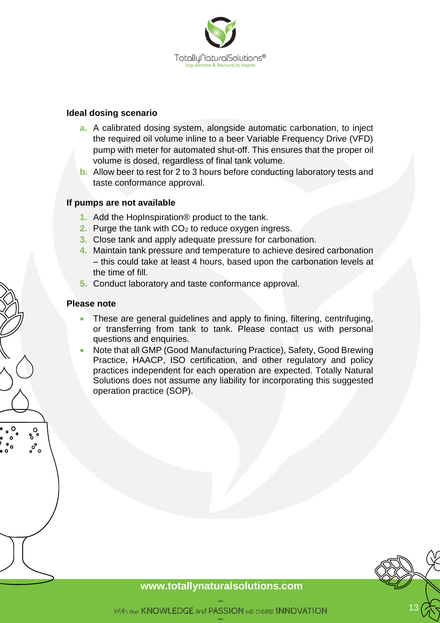

#### **Ideal dosing scenario**

- **a.** A calibrated dosing system, alongside automatic carbonation, to inject the required oil volume inline to a beer Variable Frequency Drive (VFD) pump with meter for automated shut-off. This ensures that the proper oil volume is dosed, regardless of final tank volume.
- **b.** Allow beer to rest for 2 to 3 hours before conducting laboratory tests and taste conformance approval.

#### **If pumps are not available**

- **1.** Add the HopInspiration® product to the tank.
- **2.** Purge the tank with CO<sub>2</sub> to reduce oxygen ingress.
- **3.** Close tank and apply adequate pressure for carbonation.
- **4.** Maintain tank pressure and temperature to achieve desired carbonation – this could take at least 4 hours, based upon the carbonation levels at the time of fill.
- **5.** Conduct laboratory and taste conformance approval.

#### **Please note**

 $\delta_{\rm o}^{\rm O}$ ೢ°ಂ

- These are general guidelines and apply to fining, filtering, centrifuging, or transferring from tank to tank. Please contact us with personal questions and enquiries.
- Note that all GMP (Good Manufacturing Practice), Safety, Good Brewing Practice, HAACP, ISO certification, and other regulatory and policy practices independent for each operation are expected. Totally Natural Solutions does not assume any liability for incorporating this suggested operation practice (SOP).

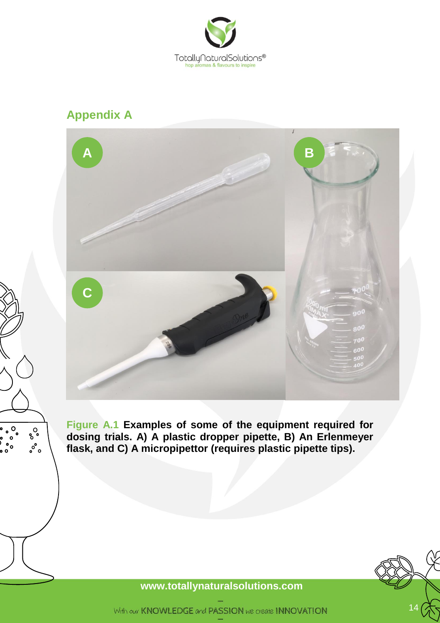

# **Appendix A**

 $\circ$   $\circ$ <sub>o</sub>

 $\bullet$  $\int_{0}^{\infty}$   $\delta_{\rm o}^{\rm O}$ 

 $\circ^{\circ}$ 



**Figure A.1 Examples of some of the equipment required for dosing trials. A) A plastic dropper pipette, B) An Erlenmeyer flask, and C) A micropipettor (requires plastic pipette tips).**

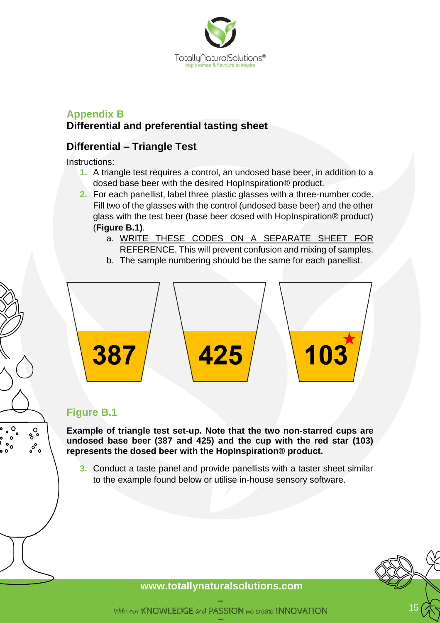

# **Appendix B Differential and preferential tasting sheet**

# **Differential – Triangle Test**

Instructions:

- **1.** A triangle test requires a control, an undosed base beer, in addition to a dosed base beer with the desired HopInspiration® product.
- **2.** For each panellist, label three plastic glasses with a three-number code. Fill two of the glasses with the control (undosed base beer) and the other glass with the test beer (base beer dosed with HopInspiration® product) (**Figure B.1)**.
	- a. WRITE THESE CODES ON A SEPARATE SHEET FOR REFERENCE. This will prevent confusion and mixing of samples.
	- b. The sample numbering should be the same for each panellist.



# **Figure B.1**

 $\circ$ 

 $\int_{0}^{\infty}$ 

 $\delta_{\rm o}^{\rm O}$ 

 $\int_{0}^{\infty}$ 

**Example of triangle test set-up. Note that the two non-starred cups are undosed base beer (387 and 425) and the cup with the red star (103) represents the dosed beer with the HopInspiration® product.**

**3.** Conduct a taste panel and provide panellists with a taster sheet similar to the example found below or utilise in-house sensory software.

# 15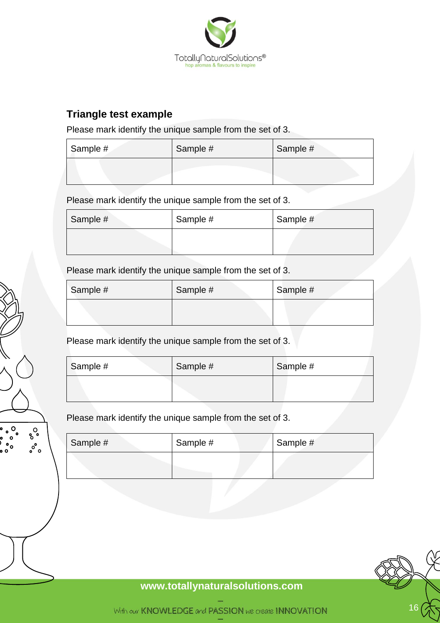

# **Triangle test example**

Please mark identify the unique sample from the set of 3.

| Sample # | Sample # | Sample # |
|----------|----------|----------|
|          |          |          |

Please mark identify the unique sample from the set of 3.

| Sample # | Sample # | Sample # |
|----------|----------|----------|
|          |          |          |

Please mark identify the unique sample from the set of 3.

| Sample # | Sample # | Sample # |
|----------|----------|----------|
|          |          |          |

Please mark identify the unique sample from the set of 3.

| Sample # | Sample # | Sample # |
|----------|----------|----------|
|          |          |          |

Please mark identify the unique sample from the set of 3.

 $\circ$ 

 $\bullet$  $\int_{0}^{\infty}$ 

 $\delta_{\rm o}^{\rm O}$ 

 $\circ^{\circ}$ 

| Sample # | Sample # | Sample # |
|----------|----------|----------|
|          |          |          |

**[www.totallyn](http://www.totally/)aturalsolutions.com**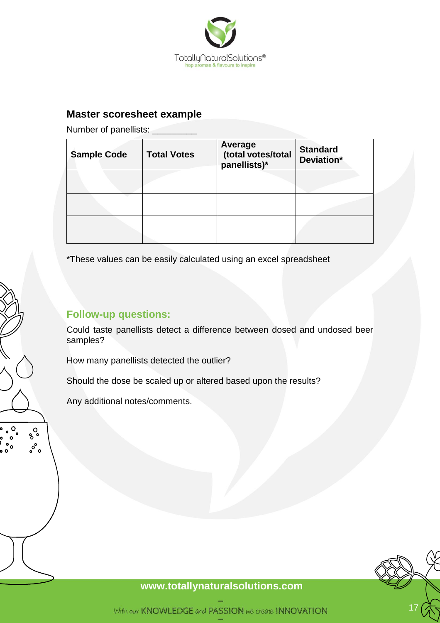

# **Master scoresheet example**

Number of panellists: \_\_\_\_\_\_

| <b>Sample Code</b> | <b>Total Votes</b> | Average<br>(total votes/total<br>panellists)* | <b>Standard</b><br>Deviation* |
|--------------------|--------------------|-----------------------------------------------|-------------------------------|
|                    |                    |                                               |                               |
|                    |                    |                                               |                               |
|                    |                    |                                               |                               |

\*These values can be easily calculated using an excel spreadsheet

# **Follow-up questions:**

Could taste panellists detect a difference between dosed and undosed beer samples?

How many panellists detected the outlier?

Should the dose be scaled up or altered based upon the results?

Any additional notes/comments.

 $\circ$ 

 $\delta_{\rm o}^{\rm O}$  $\circ^\circ$  o

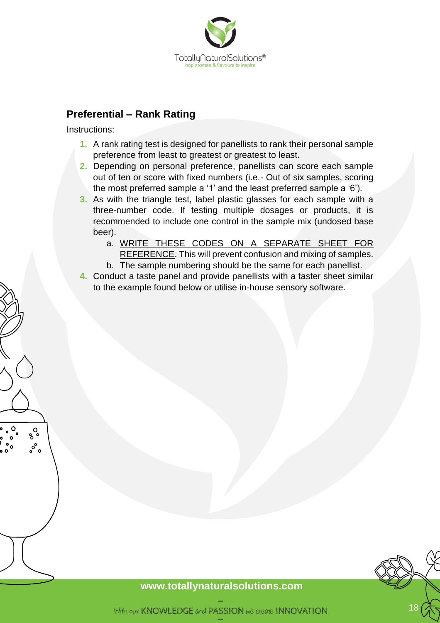

### **Preferential – Rank Rating**

Instructions:

 $\delta_{\rm o}^{\rm O}$ ೢ°ಂ

- **1.** A rank rating test is designed for panellists to rank their personal sample preference from least to greatest or greatest to least.
- **2.** Depending on personal preference, panellists can score each sample out of ten or score with fixed numbers (i.e.- Out of six samples, scoring the most preferred sample a '1' and the least preferred sample a '6').
- **3.** As with the triangle test, label plastic glasses for each sample with a three-number code. If testing multiple dosages or products, it is recommended to include one control in the sample mix (undosed base beer).
	- a. WRITE THESE CODES ON A SEPARATE SHEET FOR REFERENCE. This will prevent confusion and mixing of samples.
	- b. The sample numbering should be the same for each panellist.
- **4.** Conduct a taste panel and provide panellists with a taster sheet similar to the example found below or utilise in-house sensory software.